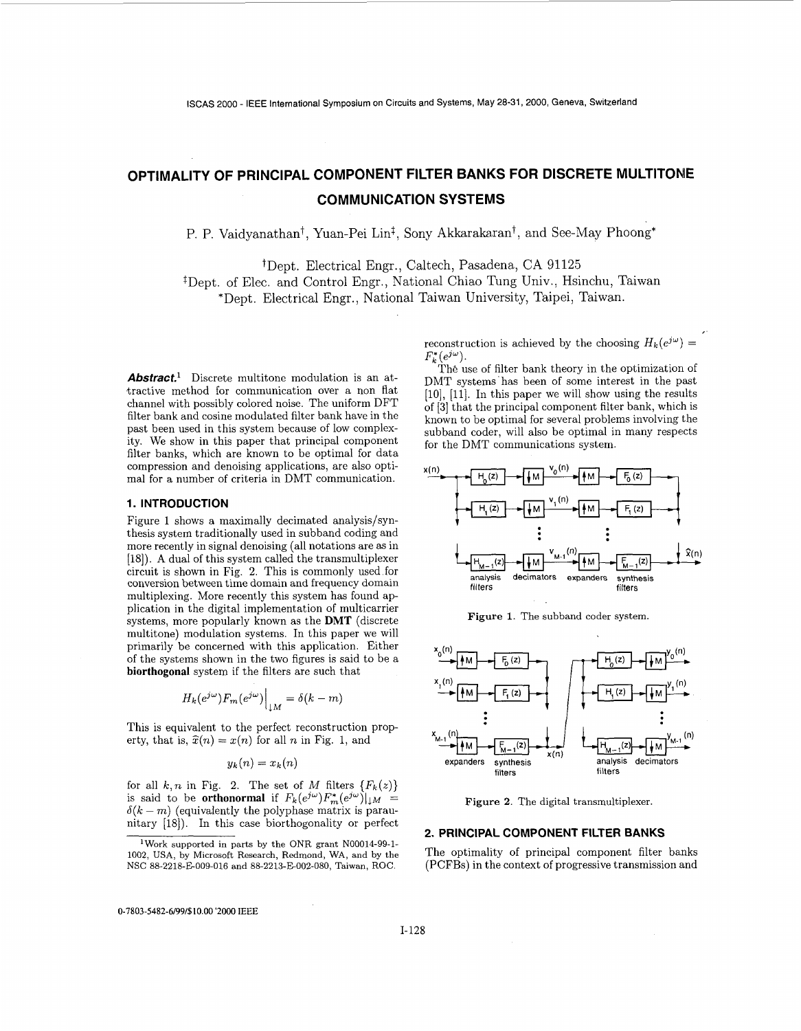# **OPTIMALITY OF PRINCIPAL COMPONENT FILTER BANKS FOR DISCRETE MULTITONE COMMUNICATION SYSTEMS**

P. P. Vaidyanathan<sup>†</sup>, Yuan-Pei Lin<sup>‡</sup>, Sony Akkarakaran<sup>†</sup>, and See-May Phoong\*

tDept. Electrical Engr., Caltech, Pasadena, CA 91125 \$Dept. of Elec. and Control Engr., National Chiao Tung Univ., Hsinchu, Taiwan

\*Dept. Electrical Engr., National Taiwan University, Taipei, Taiwan.

*Abstract.* Discrete multitone modulation is an at-.tractive method for communication over a non flat channel with possibly colored noise. The uniform DFT filter bank and cosine modulated filter bank have in the past been used in this system because of low complexity. we show in this paper that principal component filter banks, which are known to be optimal for data mal for a number of criteria in DMT communication. compression and denoising applications, are also opti- $x(n)$ 

## **1. INTRODUCTION**

Figure 1 shows a maximally decimated analysis/synthesis system traditionally used in subband coding and more recently in signal denoising (all notations are **as** in [IS]). **A** dual of this system called the transmultiplexer circuit is shown in Fig. **2.** This is commonly used for conversion between time domain and frequency domain multiplexing. More recently this system has found application in the digital implementation of multicarrier systems, more popularly known as the **DMT** (discrete multitone) modulation systems. In this paper we will primarily be concerned with this application. Either of the systems shown in the two figures is said to be a **biorthogonal** system if the filters are such that

$$
H_k(e^{j\omega})F_m(e^{j\omega})\Big|_{\downarrow M}=\delta(k-m)
$$

This is equivalent to the perfect reconstruction property, that is,  $\hat{x}(n) = x(n)$  for all *n* in Fig. 1, and

$$
y_k(n) = x_k(n)
$$

for all  $k, n$  in Fig. 2. The set of  $M$  filters  ${F_k(z)}$ is said to be **orthonormal** if  $F_k(e^{j\omega})F_m^*(e^{j\omega})|_{\downarrow M} = \delta(k-m)$  (equivalently the polyphase matrix is paraunitary [18]). In this case biorthogonality or perfect

reconstruction is achieved by the choosing  $H_k(e^{j\omega}) =$  $F_{k}^{\ast}(e^{j\omega}).$ 

The use of filter bank theory in the optimization of DMT systems has been of some interest in the past  $[10]$ ,  $[11]$ . In this paper we will show using the results of **[3]** that the principal component filter bank, which is known to be optimal for several problems involving the subband coder, will also be optimal in many respects for the DMT communications system.



**Figure** 1. The subband coder system



**Figure 2.** The digital transmultiplexer.

## **2. PRINCIPAL COMPONENT FILTER BANKS**

The optimality of principal component filter banks (PCFBs) in the context of progressive transmission and

**0-7803-5482-6/99/\$10.00** '2000 IEEE

lWork supported in parts by the ONR grant N00014-99-1- 1002, USA, by Microsoft Research, Redmond, **WA,** and by the NSC 88-2218-E-009.016 and 88-2213-E002-080, Taiwan, ROC.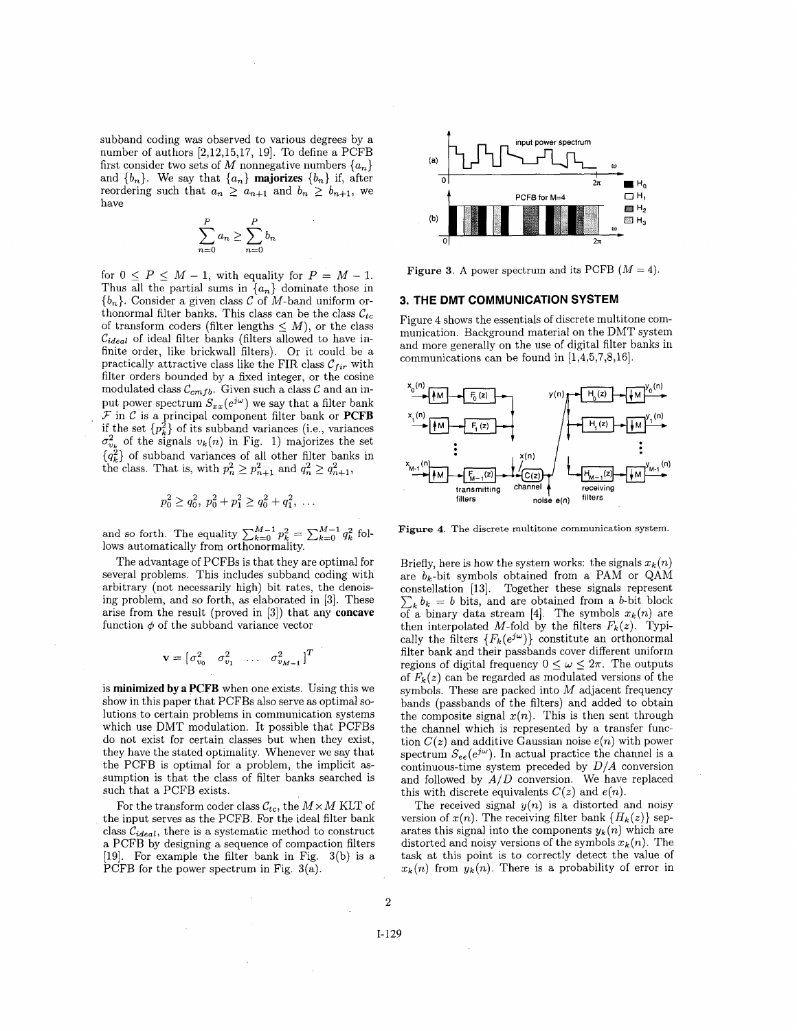subband coding was observed to various degrees by a number of authors  $[2,12,15,17, 19]$ . To define a PCFB first consider two sets of *M* nonnegative numbers  $\{a_n\}$ and  ${b_n}$ . We say that  ${a_n}$  **majorizes**  ${b_n}$  if, after reordering such that  $a_n \geq a_{n+1}$  and  $b_n \geq b_{n+1}$ , we have

$$
\sum_{n=0}^{P} a_n \ge \sum_{n=0}^{P} b_n
$$

for  $0 \leq P \leq M - 1$ , with equality for  $P = M - 1$ . Thus all the partial sums in  $\{a_n\}$  dominate those in  ${b_n}$ . Consider a given class C of M-band uniform orthonormal filter banks. This class can be the class  $\mathcal{C}_{tc}$ of transform coders (filter lengths  $\leq M$ ), or the class *Cideal* of ideal filter banks (filters allowed to have infinite order, like brickwall filters). Or it could be a practically attractive class like the FIR class  $C_{fir}$  with filter orders bounded by a fixed integer, or the cosine modulated class  $C_{cmfb}$ . Given such a class C and an input power spectrum  $S_{xx}(e^{j\omega})$  we say that a filter bank  $\mathcal F$  in  $\mathcal C$  is a principal component filter bank or **PCFB** if the set  $\{p_k^2\}$  of its subband variances (i.e., variances  $\sigma_{v_k}^2$  of the signals  $v_k(n)$  in Fig. 1) majorizes the set  $\{q_k^2\}$  of subband variances of all other filter banks in the class. That is, with  $p_n^2 \geq p_{n+1}^2$  and  $q_n^2 \geq q_{n+1}^2$ ,

$$
p_0^2 \ge q_0^2, \ p_0^2 + p_1^2 \ge q_0^2 + q_1^2, \ \ldots
$$

and so forth. The equality  $\sum_{k=0}^{M-1} p_k^2 = \sum_{k=0}^{M-1} q_k^2$  follows automatically from orthonormality.

The advantage of PCFBs is that they are optimal for several problems. This includes subband coding with arbitrary (not necessarily high) bit rates, the denoising problem, and so forth, as elaborated in [3]. These arise from the result (proved in [3]) that any **concave**  function  $\phi$  of the subband variance vector

$$
\mathbf{v} = \begin{bmatrix} \sigma_{v_0}^2 & \sigma_{v_1}^2 & \dots & \sigma_{v_{M-1}}^2 \end{bmatrix}^T
$$

is **minimized by a PCFB** when one exists. Using this we show in this paper that PCFBs also serve as optimal solutions to certain problems in communication systems which use DMT modulation. It possible that PCFBs do not exist for certain classes but when they exist, they have the stated optimality. Whenever we say that the PCFB is optimal for a problem, the implicit **as**sumption is that the class of filter banks searched is such that a PCFB exists.

For the transform coder class  $\mathcal{C}_{tc}$ , the  $M \times M$  KLT of the input serves as the PCFB. For the ideal filter bank class  $C_{ideal}$ , there is a systematic method to construct a PCFB by designing a sequence of compaction filters [19]. For example the filter bank in Fig. 3(b) is a PCFB for the power spectrum in Fig. 3(a).



**Figure 3.** A power spectrum and its PCFB  $(M = 4)$ .

## **3. THE DMT COMMUNICATION SYSTEM**

Figure 4 shows the essentials of discrete multitone communication. Background material on the DMT system and more generally on the use of digital filter banks in communications can be found in [1,4,5,7,8,16].



**Figure 4.** The discrete multitone communication system.

Briefly, here is how the system works: the signals  $x_k(n)$ are  $b_k$ -bit symbols obtained from a PAM or QAM constellation [13]. Together these signals represent  $\sum_{k} b_k = b$  bits, and are obtained from a *b*-bit block of a binary data stream [4]. The symbols  $x_k(n)$  are then interpolated M-fold by the filters  $F_k(z)$ . Typically the filters  ${F_k(e^{j\omega})}$  constitute an orthonormal filter bank and their passbands cover different uniform regions of digital frequency  $0 \leq \omega \leq 2\pi$ . The outputs of  $F_k(z)$  can be regarded as modulated versions of the symbols. These are packed into *M* adjacent frequency bands (passbands of the filters) and added to obtain the composite signal  $x(n)$ . This is then sent through the channel which is represented by a transfer function  $C(z)$  and additive Gaussian noise  $e(n)$  with power spectrum  $S_{ee}(e^{j\omega})$ . In actual practice the channel is a continuous-time system preceded by *DIA* conversion and followed by  $A/D$  conversion. We have replaced this with discrete equivalents  $C(z)$  and  $e(n)$ .

The received signal  $y(n)$  is a distorted and noisy version of  $x(n)$ . The receiving filter bank  ${H_k(z)}$  separates this signal into the components  $y_k(n)$  which are distorted and noisy versions of the symbols  $x_k(n)$ . The task at this point is to correctly detect the value of  $x_k(n)$  from  $y_k(n)$ . There is a probability of error in

2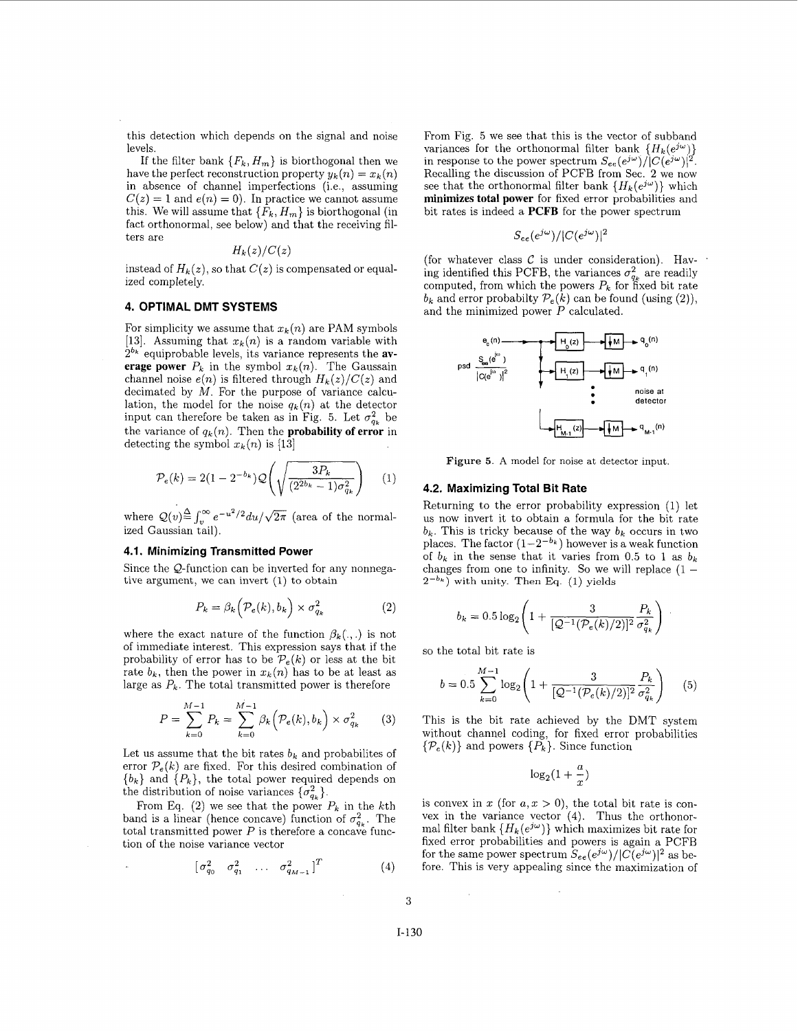this detection which depends on the signal and noise levels.

If the filter bank  ${F_k, H_m}$  is biorthogonal then we have the perfect reconstruction property  $y_k(n) = x_k(n)$ in absence of channel imperfections (i.e., assuming  $C(z) = 1$  and  $e(n) = 0$ . In practice we cannot assume this. We will assume that  $\{F_k, H_m\}$  is biorthogonal (in fact orthonormal, see below) and that the receiving filters are

$$
H_k(z)/C(z)
$$

instead of  $H_k(z)$ , so that  $C(z)$  is compensated or equalized completely.

### **4. OPTIMAL DMT SYSTEMS**

For simplicity we assume that  $x_k(n)$  are PAM symbols [13]. Assuming that  $x_k(n)$  is a random variable with 2bk equiprobable levels, its variance represents the **average power**  $P_k$  in the symbol  $x_k(n)$ . The Gaussain channel noise  $e(n)$  is filtered through  $H_k(z)/C(z)$  and decimated by  $M$ . For the purpose of variance calculation, the model for the noise  $q_k(n)$  at the detector input can therefore be taken as in Fig. 5. Let  $\sigma_{q_k}^2$  be the variance of  $q_k(n)$ . Then the **probability of error** in detecting the symbol  $x_k(n)$  is [13]

$$
\mathcal{P}_e(k) = 2(1 - 2^{-b_k}) \mathcal{Q}\left(\sqrt{\frac{3P_k}{(2^{2b_k} - 1)\sigma_{q_k}^2}}\right) \quad (1)
$$

where  $\mathcal{Q}(v) \stackrel{\Delta}{=} \int_v^{\infty} e^{-u^2/2} du / \sqrt{2\pi}$  (area of the normalized Gaussian tail).

## **4.1. Minimizing Transmitted Power**

Since the Q-function can be inverted for any nonnegative argument, we can invert (1) to obtain

$$
P_k = \beta_k \left( \mathcal{P}_e(k), b_k \right) \times \sigma_{q_k}^2 \tag{2}
$$

where the exact nature of the function  $\beta_k(.,.)$  is not of immediate interest. This expression says that if the or immediate interest. This expression says that if the so the total bit rate is probability of error has to be  $P_e(k)$  or less at the bit rate  $b_k$ , then the power in  $x_k(n)$  has to be at least as large as  $P_k$ . The total transmitted power is therefore

$$
P = \sum_{k=0}^{M-1} P_k = \sum_{k=0}^{M-1} \beta_k \left( \mathcal{P}_e(k), b_k \right) \times \sigma_{q_k}^2 \qquad (3) \qquad \text{This is the biwithout channel}
$$

Let us assume that the bit rates  $b_k$  and probabilites of error  $P_e(k)$  are fixed. For this desired combination of  ${b_k}$  and  ${P_k}$ , the total power required depends on the distribution of noise variances  $\{\sigma_{q_k}^2\}.$ 

From Eq.  $(2)$  we see that the power  $P_k$  in the kth band is a linear (hence concave) function of  $\sigma_{q_{\mu}}^2$ . The total transmitted power  $P$  is therefore a concave function of the noise variance vector

$$
\begin{bmatrix} \sigma_{q_0}^2 & \sigma_{q_1}^2 & \dots & \sigma_{q_{M-1}}^2 \end{bmatrix}^T \tag{4}
$$

From Fig. 5 we see that this is the vector of subband variances for the orthonormal filter bank  ${H_k(e^{j\omega})}$ in response to the power spectrum  $S_{ee}(e^{j\omega})/|C(e^{j\omega})|^2$ . Recalling the discussion of PCFB from Sec. 2 we now see that the orthonormal filter bank  ${H_k(e^{j\omega})}$  which **minimizes total power** for fixed error probabilities and bit rates is indeed a **PCFB** for the power spectrum

$$
S_{ee}(e^{j\omega})/|C(e^{j\omega})|^2
$$

(for whatever class  $C$  is under consideration). Having identified this PCFB, the variances  $\sigma_{q_k}^2$  are readily computed, from which the powers  $P_k$  for fixed bit rate  $b_k$  and error probabilty  $P_e(k)$  can be found (using (2)), and the minimized power *P* calculated.



**Figure** *5.* **A** model for noise at detector input.

#### **4.2. Maximizing Total Bit Rate**

Returning to the error probability expression (1) let us now invert it to obtain a formula for the bit rate  $b_k$ . This is tricky because of the way  $b_k$  occurs in two places. The factor  $(1-2^{-b_k})$  however is a weak function of  $b_k$  in the sense that it varies from 0.5 to 1 as  $b_k$ changes from one to infinity. So we will replace  $(1 2^{-b_k}$ ) with unity. Then Eq. (1) yields

$$
b_k = 0.5 \log_2 \left( 1 + \frac{3}{[\mathcal{Q}^{-1}(\mathcal{P}_e(k)/2)]^2} \frac{P_k}{\sigma_{q_k}^2} \right)
$$

$$
b = 0.5 \sum_{k=0}^{M-1} \log_2 \left( 1 + \frac{3}{\left[ \mathcal{Q}^{-1}(\mathcal{P}_e(k)/2) \right]^2} \frac{P_k}{\sigma_{q_k}^2} \right) \tag{5}
$$

This is the bit rate achieved by the DMT system without channel coding, for fixed error probabilities  $\{\mathcal{P}_{e}(k)\}\$ and powers  $\{P_{k}\}\$ . Since function

$$
\log_2(1+\frac{a}{x})
$$

is convex in x (for  $a, x > 0$ ), the total bit rate is convex in the variance vector (4). Thus the orthonormal filter bank  ${H_k(e^{j\omega})}$  which maximizes bit rate for fixed error probabilities and powers is again a PCFB for the same power spectrum  $S_{ee}(e^{j\omega})/|C(e^{j\omega})|^2$  as before. This is very appealing since the maximization of

*3*